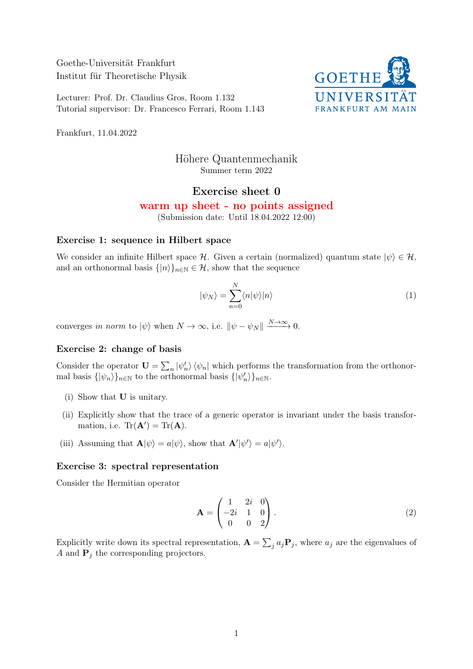Goethe-Universität Frankfurt Institut für Theoretische Physik

Lecturer: Prof. Dr. Claudius Gros, Room 1.132 Tutorial supervisor: Dr. Francesco Ferrari, Room 1.143



Frankfurt, 11.04.2022

# Höhere Quantenmechanik Summer term 2022

## Exercise sheet 0

## warm up sheet - no points assigned

(Submission date: Until 18.04.2022 12:00)

### Exercise 1: sequence in Hilbert space

We consider an infinite Hilbert space H. Given a certain (normalized) quantum state  $|\psi\rangle \in \mathcal{H}$ , and an orthonormal basis  $\{|n\rangle\}_{n\in\mathbb{N}} \in \mathcal{H}$ , show that the sequence

$$
|\psi_N\rangle = \sum_{n=0}^{N} \langle n|\psi\rangle |n\rangle
$$
 (1)

converges in norm to  $|\psi\rangle$  when  $N \to \infty$ , i.e.  $\|\psi - \psi_N\| \xrightarrow{N \to \infty} 0$ .

#### Exercise 2: change of basis

Consider the operator  $\mathbf{U} = \sum_n |\psi'_n\rangle \langle \psi_n|$  which performs the transformation from the orthonormal basis  $\{|\psi_n\rangle\}_{n\in\mathbb{N}}$  to the orthonormal basis  $\{|\psi_n'\rangle\}_{n\in\mathbb{N}}$ .

- (i) Show that U is unitary.
- (ii) Explicitly show that the trace of a generic operator is invariant under the basis transformation, i.e.  $\text{Tr}(\mathbf{A}') = \text{Tr}(\mathbf{A})$ .
- (iii) Assuming that  $\mathbf{A}|\psi\rangle = a|\psi\rangle$ , show that  $\mathbf{A}'|\psi'\rangle = a|\psi'\rangle$ .

#### Exercise 3: spectral representation

Consider the Hermitian operator

$$
\mathbf{A} = \begin{pmatrix} 1 & 2i & 0 \\ -2i & 1 & 0 \\ 0 & 0 & 2 \end{pmatrix} . \tag{2}
$$

Explicitly write down its spectral representation,  $\mathbf{A} = \sum_j a_j \mathbf{P}_j$ , where  $a_j$  are the eigenvalues of A and  $P_j$  the corresponding projectors.